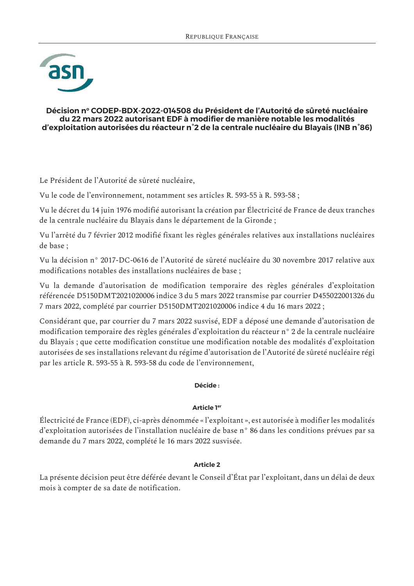

#### Décision nº CODEP-BDX-2022-014508 du Président de l'Autorité de sûreté nucléaire du 22 mars 2022 autorisant EDF à modifier de manière notable les modalités d'exploitation autorisées du réacteur n°2 de la centrale nucléaire du Blayais (INB n°86)

Le Président de l'Autorité de sûreté nucléaire,

Vu le code de l'environnement, notamment ses articles R. 593-55 à R. 593-58;

Vu le décret du 14 juin 1976 modifié autorisant la création par Électricité de France de deux tranches de la centrale nucléaire du Blayais dans le département de la Gironde;

Vu l'arrêté du 7 février 2012 modifié fixant les règles générales relatives aux installations nucléaires de base ;

Vu la décision n° 2017-DC-0616 de l'Autorité de sûreté nucléaire du 30 novembre 2017 relative aux modifications notables des installations nucléaires de base ;

Vu la demande d'autorisation de modification temporaire des règles générales d'exploitation référencée D5150DMT2021020006 indice 3 du 5 mars 2022 transmise par courrier D455022001326 du 7 mars 2022, complété par courrier D5150DMT2021020006 indice 4 du 16 mars 2022;

Considérant que, par courrier du 7 mars 2022 susvisé, EDF a déposé une demande d'autorisation de modification temporaire des règles générales d'exploitation du réacteur n° 2 de la centrale nucléaire du Blayais; que cette modification constitue une modification notable des modalités d'exploitation autorisées de ses installations relevant du régime d'autorisation de l'Autorité de sûreté nucléaire régi par les article R. 593-55 à R. 593-58 du code de l'environnement,

#### Décide:

### **Article 1er**

Électricité de France (EDF), ci-après dénommée « l'exploitant », est autorisée à modifier les modalités d'exploitation autorisées de l'installation nucléaire de base n° 86 dans les conditions prévues par sa demande du 7 mars 2022, complété le 16 mars 2022 susvisée.

#### **Article 2**

La présente décision peut être déférée devant le Conseil d'État par l'exploitant, dans un délai de deux mois à compter de sa date de notification.